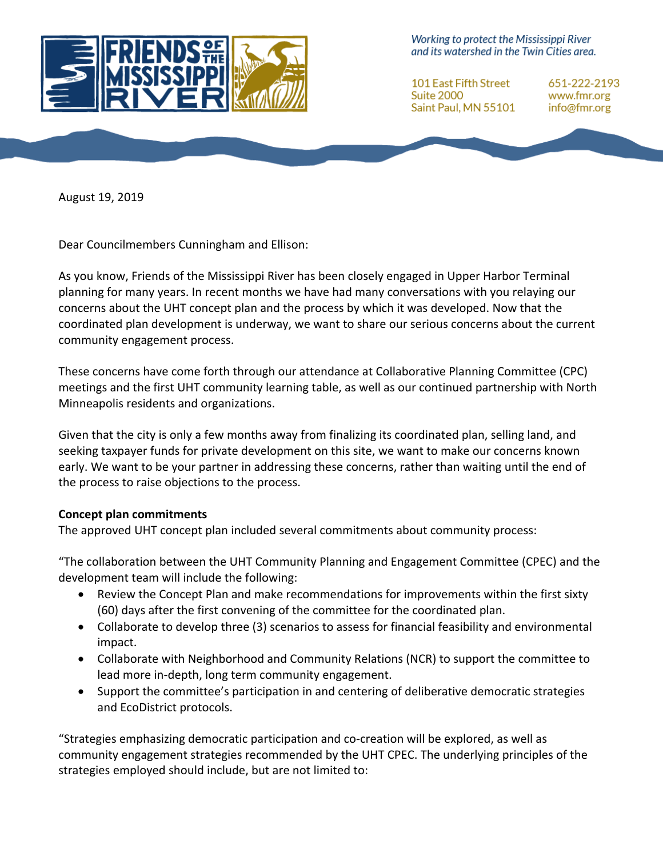

Working to protect the Mississippi River and its watershed in the Twin Cities area.

**101 East Fifth Street** Suite 2000 Saint Paul, MN 55101

651-222-2193 www.fmr.org info@fmr.org

August 19, 2019

Dear Councilmembers Cunningham and Ellison:

As you know, Friends of the Mississippi River has been closely engaged in Upper Harbor Terminal planning for many years. In recent months we have had many conversations with you relaying our concerns about the UHT concept plan and the process by which it was developed. Now that the coordinated plan development is underway, we want to share our serious concerns about the current community engagement process.

These concerns have come forth through our attendance at Collaborative Planning Committee (CPC) meetings and the first UHT community learning table, as well as our continued partnership with North Minneapolis residents and organizations.

Given that the city is only a few months away from finalizing its coordinated plan, selling land, and seeking taxpayer funds for private development on this site, we want to make our concerns known early. We want to be your partner in addressing these concerns, rather than waiting until the end of the process to raise objections to the process.

#### **Concept plan commitments**

The approved UHT concept plan included several commitments about community process:

"The collaboration between the UHT Community Planning and Engagement Committee (CPEC) and the development team will include the following:

- Review the Concept Plan and make recommendations for improvements within the first sixty (60) days after the first convening of the committee for the coordinated plan.
- Collaborate to develop three (3) scenarios to assess for financial feasibility and environmental impact.
- Collaborate with Neighborhood and Community Relations (NCR) to support the committee to lead more in-depth, long term community engagement.
- Support the committee's participation in and centering of deliberative democratic strategies and EcoDistrict protocols.

"Strategies emphasizing democratic participation and co-creation will be explored, as well as community engagement strategies recommended by the UHT CPEC. The underlying principles of the strategies employed should include, but are not limited to: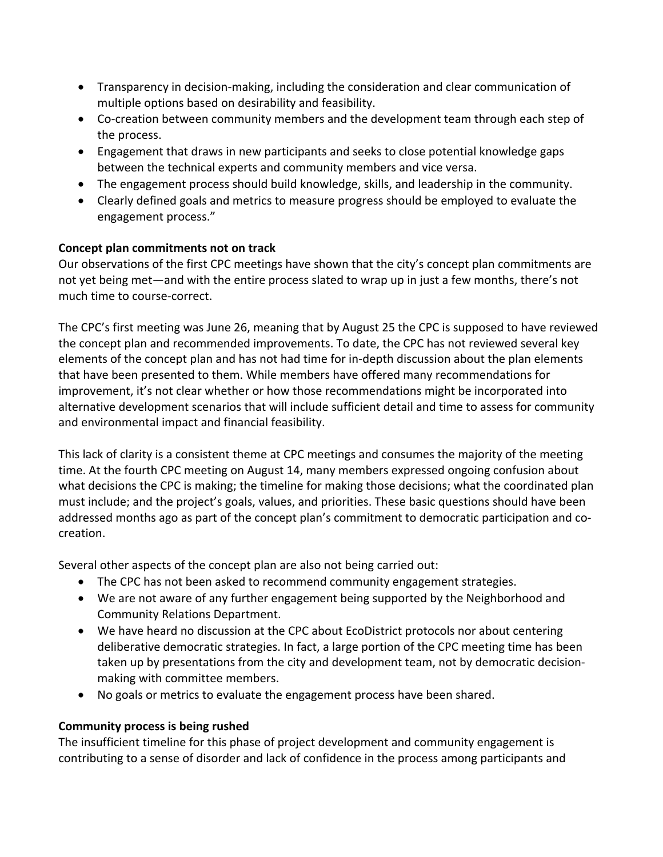- Transparency in decision-making, including the consideration and clear communication of multiple options based on desirability and feasibility.
- Co-creation between community members and the development team through each step of the process.
- Engagement that draws in new participants and seeks to close potential knowledge gaps between the technical experts and community members and vice versa.
- The engagement process should build knowledge, skills, and leadership in the community.
- Clearly defined goals and metrics to measure progress should be employed to evaluate the engagement process."

# **Concept plan commitments not on track**

Our observations of the first CPC meetings have shown that the city's concept plan commitments are not yet being met—and with the entire process slated to wrap up in just a few months, there's not much time to course-correct.

The CPC's first meeting was June 26, meaning that by August 25 the CPC is supposed to have reviewed the concept plan and recommended improvements. To date, the CPC has not reviewed several key elements of the concept plan and has not had time for in-depth discussion about the plan elements that have been presented to them. While members have offered many recommendations for improvement, it's not clear whether or how those recommendations might be incorporated into alternative development scenarios that will include sufficient detail and time to assess for community and environmental impact and financial feasibility.

This lack of clarity is a consistent theme at CPC meetings and consumes the majority of the meeting time. At the fourth CPC meeting on August 14, many members expressed ongoing confusion about what decisions the CPC is making; the timeline for making those decisions; what the coordinated plan must include; and the project's goals, values, and priorities. These basic questions should have been addressed months ago as part of the concept plan's commitment to democratic participation and cocreation.

Several other aspects of the concept plan are also not being carried out:

- The CPC has not been asked to recommend community engagement strategies.
- We are not aware of any further engagement being supported by the Neighborhood and Community Relations Department.
- We have heard no discussion at the CPC about EcoDistrict protocols nor about centering deliberative democratic strategies. In fact, a large portion of the CPC meeting time has been taken up by presentations from the city and development team, not by democratic decisionmaking with committee members.
- No goals or metrics to evaluate the engagement process have been shared.

# **Community process is being rushed**

The insufficient timeline for this phase of project development and community engagement is contributing to a sense of disorder and lack of confidence in the process among participants and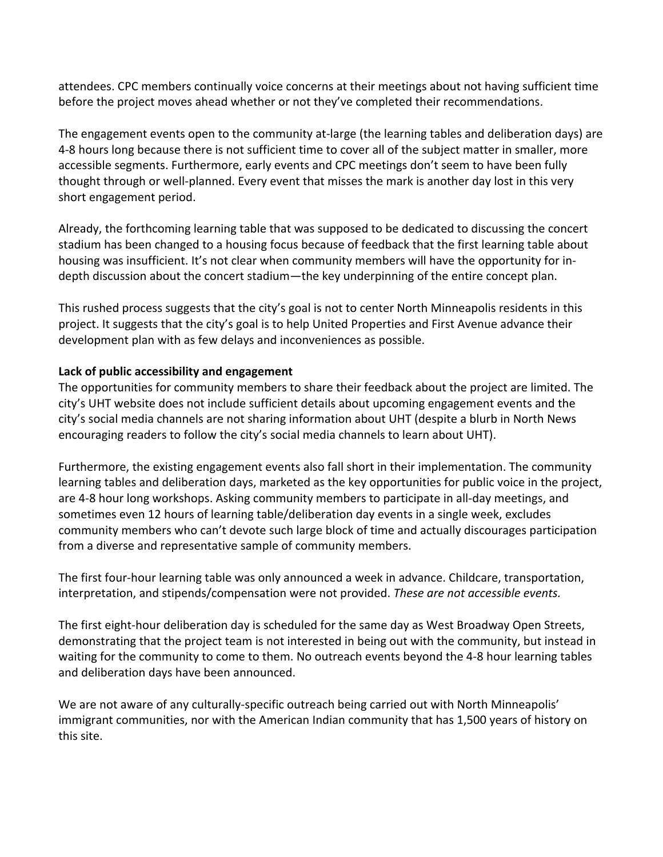attendees. CPC members continually voice concerns at their meetings about not having sufficient time before the project moves ahead whether or not they've completed their recommendations.

The engagement events open to the community at-large (the learning tables and deliberation days) are 4-8 hours long because there is not sufficient time to cover all of the subject matter in smaller, more accessible segments. Furthermore, early events and CPC meetings don't seem to have been fully thought through or well-planned. Every event that misses the mark is another day lost in this very short engagement period.

Already, the forthcoming learning table that was supposed to be dedicated to discussing the concert stadium has been changed to a housing focus because of feedback that the first learning table about housing was insufficient. It's not clear when community members will have the opportunity for indepth discussion about the concert stadium—the key underpinning of the entire concept plan.

This rushed process suggests that the city's goal is not to center North Minneapolis residents in this project. It suggests that the city's goal is to help United Properties and First Avenue advance their development plan with as few delays and inconveniences as possible.

## **Lack of public accessibility and engagement**

The opportunities for community members to share their feedback about the project are limited. The city's UHT website does not include sufficient details about upcoming engagement events and the city's social media channels are not sharing information about UHT (despite a blurb in North News encouraging readers to follow the city's social media channels to learn about UHT).

Furthermore, the existing engagement events also fall short in their implementation. The community learning tables and deliberation days, marketed as the key opportunities for public voice in the project, are 4-8 hour long workshops. Asking community members to participate in all-day meetings, and sometimes even 12 hours of learning table/deliberation day events in a single week, excludes community members who can't devote such large block of time and actually discourages participation from a diverse and representative sample of community members.

The first four-hour learning table was only announced a week in advance. Childcare, transportation, interpretation, and stipends/compensation were not provided. *These are not accessible events.* 

The first eight-hour deliberation day is scheduled for the same day as West Broadway Open Streets, demonstrating that the project team is not interested in being out with the community, but instead in waiting for the community to come to them. No outreach events beyond the 4-8 hour learning tables and deliberation days have been announced.

We are not aware of any culturally-specific outreach being carried out with North Minneapolis' immigrant communities, nor with the American Indian community that has 1,500 years of history on this site.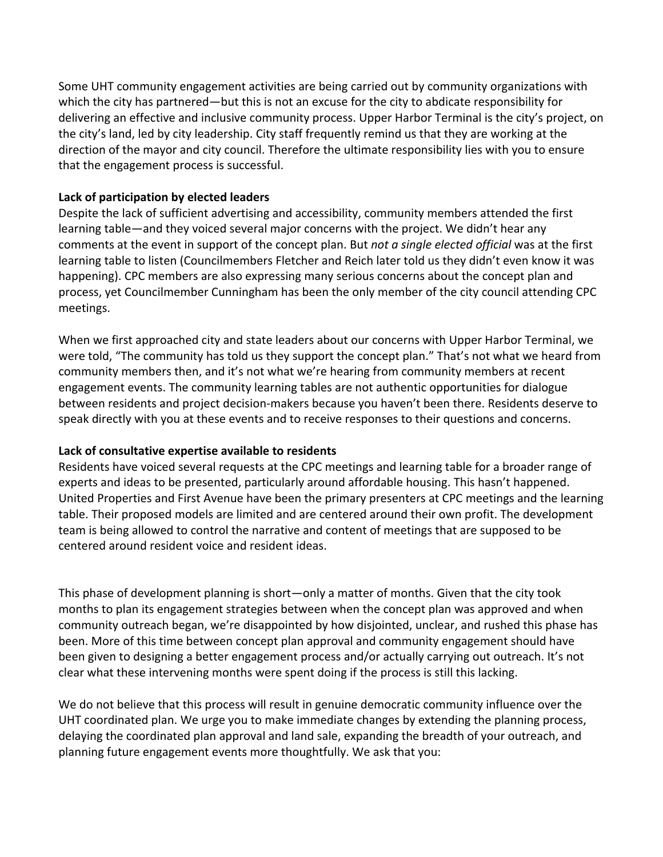Some UHT community engagement activities are being carried out by community organizations with which the city has partnered—but this is not an excuse for the city to abdicate responsibility for delivering an effective and inclusive community process. Upper Harbor Terminal is the city's project, on the city's land, led by city leadership. City staff frequently remind us that they are working at the direction of the mayor and city council. Therefore the ultimate responsibility lies with you to ensure that the engagement process is successful.

## **Lack of participation by elected leaders**

Despite the lack of sufficient advertising and accessibility, community members attended the first learning table—and they voiced several major concerns with the project. We didn't hear any comments at the event in support of the concept plan. But *not a single elected official* was at the first learning table to listen (Councilmembers Fletcher and Reich later told us they didn't even know it was happening). CPC members are also expressing many serious concerns about the concept plan and process, yet Councilmember Cunningham has been the only member of the city council attending CPC meetings.

When we first approached city and state leaders about our concerns with Upper Harbor Terminal, we were told, "The community has told us they support the concept plan." That's not what we heard from community members then, and it's not what we're hearing from community members at recent engagement events. The community learning tables are not authentic opportunities for dialogue between residents and project decision-makers because you haven't been there. Residents deserve to speak directly with you at these events and to receive responses to their questions and concerns.

#### **Lack of consultative expertise available to residents**

Residents have voiced several requests at the CPC meetings and learning table for a broader range of experts and ideas to be presented, particularly around affordable housing. This hasn't happened. United Properties and First Avenue have been the primary presenters at CPC meetings and the learning table. Their proposed models are limited and are centered around their own profit. The development team is being allowed to control the narrative and content of meetings that are supposed to be centered around resident voice and resident ideas.

This phase of development planning is short—only a matter of months. Given that the city took months to plan its engagement strategies between when the concept plan was approved and when community outreach began, we're disappointed by how disjointed, unclear, and rushed this phase has been. More of this time between concept plan approval and community engagement should have been given to designing a better engagement process and/or actually carrying out outreach. It's not clear what these intervening months were spent doing if the process is still this lacking.

We do not believe that this process will result in genuine democratic community influence over the UHT coordinated plan. We urge you to make immediate changes by extending the planning process, delaying the coordinated plan approval and land sale, expanding the breadth of your outreach, and planning future engagement events more thoughtfully. We ask that you: